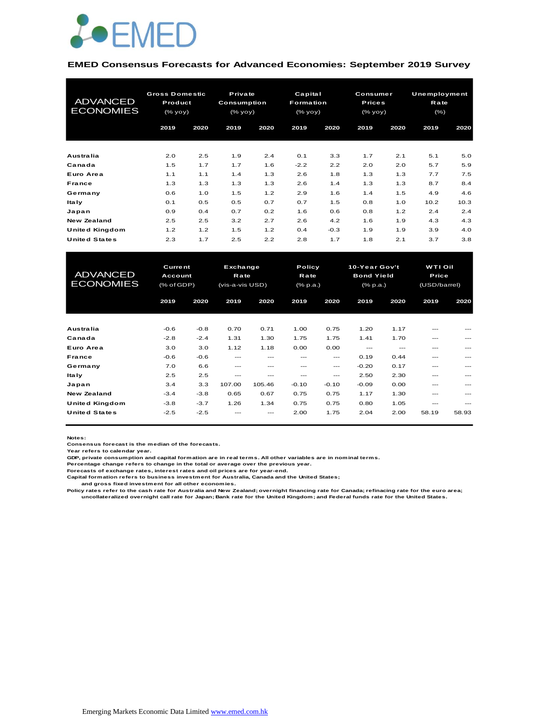

#### **EMED Consensus Forecasts for Advanced Economies: September 2019 Survey**

| <b>ADVANCED</b><br><b>ECONOMIES</b> | <b>Gross Domestic</b><br>Product<br>(% |      | Private<br>Consumption<br>(% |      | Capital<br><b>Formation</b><br>(% |        | Consumer<br><b>Prices</b><br>(% yoy) |      | Unemployment<br>Rate<br>$(\% )$ |      |
|-------------------------------------|----------------------------------------|------|------------------------------|------|-----------------------------------|--------|--------------------------------------|------|---------------------------------|------|
|                                     | 2019                                   | 2020 | 2019                         | 2020 | 2019                              | 2020   | 2019                                 | 2020 | 2019                            | 2020 |
| Australia                           | 2.0                                    | 2.5  | 1.9                          | 2.4  | 0.1                               | 3.3    | 1.7                                  | 2.1  | 5.1                             | 5.0  |
| Canada                              | 1.5                                    | 1.7  | 1.7                          | 1.6  | $-2.2$                            | 2.2    | 2.0                                  | 2.0  | 5.7                             | 5.9  |
| Euro Area                           | 1.1                                    | 1.1  | 1.4                          | 1.3  | 2.6                               | 1.8    | 1.3                                  | 1.3  | 7.7                             | 7.5  |
| France                              | 1.3                                    | 1.3  | 1.3                          | 1.3  | 2.6                               | 1.4    | 1.3                                  | 1.3  | 8.7                             | 8.4  |
| Germany                             | 0.6                                    | 1.0  | 1.5                          | 1.2  | 2.9                               | 1.6    | 1.4                                  | 1.5  | 4.9                             | 4.6  |
| ltaly                               | 0.1                                    | 0.5  | 0.5                          | 0.7  | 0.7                               | 1.5    | 0.8                                  | 1.0  | 10.2                            | 10.3 |
| Japan                               | 0.9                                    | 0.4  | 0.7                          | 0.2  | 1.6                               | 0.6    | 0.8                                  | 1.2  | 2.4                             | 2.4  |
| New Zealand                         | 2.5                                    | 2.5  | 3.2                          | 2.7  | 2.6                               | 4.2    | 1.6                                  | 1.9  | 4.3                             | 4.3  |
| United Kingdom                      | 1.2                                    | 1.2  | 1.5                          | 1.2  | 0.4                               | $-0.3$ | 1.9                                  | 1.9  | 3.9                             | 4.0  |
| <b>United States</b>                | 2.3                                    | 1.7  | 2.5                          | 2.2  | 2.8                               | 1.7    | 1.8                                  | 2.1  | 3.7                             | 3.8  |

| United Kingdom                      | 1.2                                     | 1.2    | 1.5                                 | 1.2    | 0.4                        | $-0.3$  | 1.9                                            | 1.9   | 3.9                              | 4.0   |
|-------------------------------------|-----------------------------------------|--------|-------------------------------------|--------|----------------------------|---------|------------------------------------------------|-------|----------------------------------|-------|
| <b>United States</b>                | 2.3                                     | 1.7    | 2.5                                 | 2.2    | 2.8                        | 1.7     | 1.8                                            | 2.1   | 3.7                              | 3.8   |
|                                     |                                         |        |                                     |        |                            |         |                                                |       |                                  |       |
| <b>ADVANCED</b><br><b>ECONOMIES</b> | <b>Current</b><br>Account<br>(% of GDP) |        | Exchange<br>Rate<br>(vis-a-vis USD) |        | Policy<br>Rate<br>(% p.a.) |         | 10-Year Gov't<br><b>Bond Yield</b><br>(% p.a.) |       | WTI Oil<br>Price<br>(USD/barrel) |       |
|                                     | 2019                                    | 2020   | 2019                                | 2020   | 2019                       | 2020    | 2019                                           | 2020  | 2019                             | 2020  |
|                                     |                                         |        |                                     |        |                            |         |                                                |       |                                  |       |
| Australia                           | $-0.6$                                  | $-0.8$ | 0.70                                | 0.71   | 1.00                       | 0.75    | 1.20                                           | 1.17  | $---$                            |       |
| Canada                              | $-2.8$                                  | $-2.4$ | 1.31                                | 1.30   | 1.75                       | 1.75    | 1.41                                           | 1.70  | ---                              |       |
| Euro Area                           | 3.0                                     | 3.0    | 1.12                                | 1.18   | 0.00                       | 0.00    | ---                                            | $---$ | ---                              |       |
| France                              | $-0.6$                                  | $-0.6$ | ---                                 | ---    | ---                        | ---     | 0.19                                           | 0.44  | ---                              |       |
| Germany                             | 7.0                                     | 6.6    | ---                                 | ---    | ---                        | ---     | $-0.20$                                        | 0.17  | $---$                            |       |
| <b>Italy</b>                        | 2.5                                     | 2.5    | ---                                 | ---    | ---                        | ---     | 2.50                                           | 2.30  | ---                              |       |
| Japan                               | 3.4                                     | 3.3    | 107.00                              | 105.46 | $-0.10$                    | $-0.10$ | $-0.09$                                        | 0.00  | $---$                            |       |
| <b>New Zealand</b>                  | $-3.4$                                  | $-3.8$ | 0.65                                | 0.67   | 0.75                       | 0.75    | 1.17                                           | 1.30  | ---                              |       |
| United Kingdom                      | $-3.8$                                  | $-3.7$ | 1.26                                | 1.34   | 0.75                       | 0.75    | 0.80                                           | 1.05  | ---                              |       |
| <b>United States</b>                | $-2.5$                                  | $-2.5$ |                                     |        | 2.00                       | 1.75    | 2.04                                           | 2.00  | 58.19                            | 58.93 |

**Notes:** 

**Consensus forecast is the median of the forecasts.**

**Year refers to calendar year.**

**GDP, private consumption and capital formation are in real terms. All other variables are in nominal terms.**

**Percentage change refers to change in the total or average over the previous year.**

**Forecasts of exchange rates, interest rates and oil prices are for year-end.**

**Capital formation refers to business investment for Australia, Canada and the United States; and gross fixed investment for all other economies.**

**Policy rates refer to the cash rate for Australia and New Zealand; overnight financing rate for Canada; refinacing rate for the euro area; uncollateralized overnight call rate for Japan; Bank rate for the United Kingdom; and Federal funds rate for the United States.**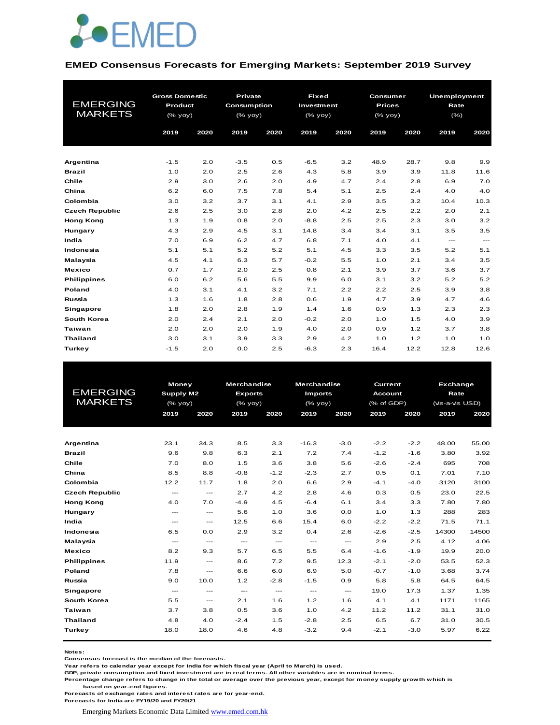

#### **EMED Consensus Forecasts for Emerging Markets: September 2019 Survey**

|                       | <b>Gross Domestic</b> |      | <b>Private</b> |      | <b>Fixed</b> |      | Consumer                                       |      | Unemployment  |                          |
|-----------------------|-----------------------|------|----------------|------|--------------|------|------------------------------------------------|------|---------------|--------------------------|
| <b>EMERGING</b>       | Product               |      | Consumption    |      | Investment   |      | <b>Prices</b>                                  |      | Rate          |                          |
| <b>MARKETS</b>        | (% yoy)               |      | (% yoy)        |      | $(%$ (% yoy) |      | $(% \mathsf{A}\rightarrow \mathsf{B})$ (% yoy) |      | $(\% )$       |                          |
|                       | 2019                  | 2020 | 2019           | 2020 | 2019         | 2020 | 2019                                           | 2020 | 2019          | 2020                     |
|                       |                       |      |                |      |              |      |                                                |      |               |                          |
|                       |                       |      |                |      |              |      |                                                |      |               |                          |
| Argentina             | $-1.5$                | 2.0  | $-3.5$         | 0.5  | $-6.5$       | 3.2  | 48.9                                           | 28.7 | 9.8           | 9.9                      |
| <b>Brazil</b>         | 1.0                   | 2.0  | 2.5            | 2.6  | 4.3          | 5.8  | 3.9                                            | 3.9  | 11.8          | 11.6                     |
| Chile                 | 2.9                   | 3.0  | 2.6            | 2.0  | 4.9          | 4.7  | 2.4                                            | 2.8  | 6.9           | 7.0                      |
| China                 | 6.2                   | 6.0  | 7.5            | 7.8  | 5.4          | 5.1  | 2.5                                            | 2.4  | 4.0           | 4.0                      |
| Colombia              | 3.0                   | 3.2  | 3.7            | 3.1  | 4.1          | 2.9  | 3.5                                            | 3.2  | 10.4          | 10.3                     |
| <b>Czech Republic</b> | 2.6                   | 2.5  | 3.0            | 2.8  | 2.0          | 4.2  | 2.5                                            | 2.2  | 2.0           | 2.1                      |
| <b>Hong Kong</b>      | 1.3                   | 1.9  | 0.8            | 2.0  | $-8.8$       | 2.5  | 2.5                                            | 2.3  | 3.0           | 3.2                      |
| Hungary               | 4.3                   | 2.9  | 4.5            | 3.1  | 14.8         | 3.4  | 3.4                                            | 3.1  | 3.5           | 3.5                      |
| India                 | 7.0                   | 6.9  | 6.2            | 4.7  | 6.8          | 7.1  | 4.0                                            | 4.1  | $\frac{1}{2}$ | $\hspace{0.05cm} \ldots$ |
| Indonesia             | 5.1                   | 5.1  | 5.2            | 5.2  | 5.1          | 4.5  | 3.3                                            | 3.5  | 5.2           | 5.1                      |
| Malaysia              | 4.5                   | 4.1  | 6.3            | 5.7  | $-0.2$       | 5.5  | 1.0                                            | 2.1  | 3.4           | 3.5                      |
| <b>Mexico</b>         | 0.7                   | 1.7  | 2.0            | 2.5  | 0.8          | 2.1  | 3.9                                            | 3.7  | 3.6           | 3.7                      |
| <b>Philippines</b>    | 6.0                   | 6.2  | 5.6            | 5.5  | 9.9          | 6.0  | 3.1                                            | 3.2  | 5.2           | 5.2                      |
| Poland                | 4.0                   | 3.1  | 4.1            | 3.2  | 7.1          | 2.2  | 2.2                                            | 2.5  | 3.9           | 3.8                      |
| Russia                | 1.3                   | 1.6  | 1.8            | 2.8  | 0.6          | 1.9  | 4.7                                            | 3.9  | 4.7           | 4.6                      |
| <b>Singapore</b>      | 1.8                   | 2.0  | 2.8            | 1.9  | 1.4          | 1.6  | 0.9                                            | 1.3  | 2.3           | 2.3                      |
| South Korea           | 2.0                   | 2.4  | 2.1            | 2.0  | $-0.2$       | 2.0  | 1.0                                            | 1.5  | 4.0           | 3.9                      |
| <b>Taiwan</b>         | 2.0                   | 2.0  | 2.0            | 1.9  | 4.0          | 2.0  | 0.9                                            | 1.2  | 3.7           | 3.8                      |
| <b>Thailand</b>       | 3.0                   | 3.1  | 3.9            | 3.3  | 2.9          | 4.2  | 1.0                                            | 1.2  | 1.0           | 1.0                      |
| <b>Turkey</b>         | $-1.5$                | 2.0  | 0.0            | 2.5  | $-6.3$       | 2.3  | 16.4                                           | 12.2 | 12.8          | 12.6                     |

|                       | <b>Money</b>              |                                          | <b>Merchandise</b>                       |                                          | <b>Merchandise</b>                       |                                          | <b>Current</b> |        | Exchange        |       |
|-----------------------|---------------------------|------------------------------------------|------------------------------------------|------------------------------------------|------------------------------------------|------------------------------------------|----------------|--------|-----------------|-------|
| <b>EMERGING</b>       | Supply M2                 |                                          | <b>Exports</b>                           |                                          | <b>Imports</b>                           |                                          | <b>Account</b> |        | Rate            |       |
| <b>MARKETS</b>        | (% yoy)                   |                                          | $(%$ (% yoy)                             |                                          | $(%$ (% yoy)                             |                                          | (% of GDP)     |        | (vis-a-vis USD) |       |
|                       | 2019                      | 2020                                     | 2019                                     | 2020                                     | 2019                                     | 2020                                     | 2019           | 2020   | 2019            | 2020  |
|                       |                           |                                          |                                          |                                          |                                          |                                          |                |        |                 |       |
|                       |                           |                                          |                                          |                                          |                                          |                                          |                |        |                 |       |
| Argentina             | 23.1                      | 34.3                                     | 8.5                                      | 3.3                                      | $-16.3$                                  | $-3.0$                                   | $-2.2$         | $-2.2$ | 48.00           | 55.00 |
| <b>Brazil</b>         | 9.6                       | 9.8                                      | 6.3                                      | 2.1                                      | 7.2                                      | 7.4                                      | $-1.2$         | $-1.6$ | 3.80            | 3.92  |
| Chile                 | 7.0                       | 8.0                                      | 1.5                                      | 3.6                                      | 3.8                                      | 5.6                                      | $-2.6$         | $-2.4$ | 695             | 708   |
| China                 | 8.5                       | 8.8                                      | $-0.8$                                   | $-1.2$                                   | $-2.3$                                   | 2.7                                      | 0.5            | 0.1    | 7.01            | 7.10  |
| Colombia              | 12.2                      | 11.7                                     | 1.8                                      | 2.0                                      | 6.6                                      | 2.9                                      | $-4.1$         | $-4.0$ | 3120            | 3100  |
| <b>Czech Republic</b> | $- - -$                   | $- - -$                                  | 2.7                                      | 4.2                                      | 2.8                                      | 4.6                                      | 0.3            | 0.5    | 23.0            | 22.5  |
| <b>Hong Kong</b>      | 4.0                       | 7.0                                      | $-4.9$                                   | 4.5                                      | $-6.4$                                   | 6.1                                      | 3.4            | 3.3    | 7.80            | 7.80  |
| Hungary               | $- - -$                   | $\frac{1}{2}$                            | 5.6                                      | 1.0                                      | 3.6                                      | 0.0                                      | 1.0            | 1.3    | 288             | 283   |
| India                 | $- - -$                   | $\hspace{0.05cm} \ldots$                 | 12.5                                     | 6.6                                      | 15.4                                     | 6.0                                      | $-2.2$         | $-2.2$ | 71.5            | 71.1  |
| Indonesia             | 6.5                       | 0.0                                      | 2.9                                      | 3.2                                      | 0.4                                      | 2.6                                      | $-2.6$         | $-2.5$ | 14300           | 14500 |
| Malaysia              | $\qquad \qquad -\qquad -$ | $\hspace{0.05cm} \ldots$                 | $\hspace{0.05cm} \ldots \hspace{0.05cm}$ | $\hspace{0.05cm} \ldots \hspace{0.05cm}$ | $\hspace{0.05cm} \ldots \hspace{0.05cm}$ | $\hspace{0.05cm} \ldots \hspace{0.05cm}$ | 2.9            | 2.5    | 4.12            | 4.06  |
| <b>Mexico</b>         | 8.2                       | 9.3                                      | 5.7                                      | 6.5                                      | 5.5                                      | 6.4                                      | $-1.6$         | $-1.9$ | 19.9            | 20.0  |
| <b>Philippines</b>    | 11.9                      | $\frac{1}{2}$                            | 8.6                                      | 7.2                                      | 9.5                                      | 12.3                                     | $-2.1$         | $-2.0$ | 53.5            | 52.3  |
| Poland                | 7.8                       | $\hspace{0.05cm} \ldots \hspace{0.05cm}$ | 6.6                                      | 6.0                                      | 6.9                                      | 5.0                                      | $-0.7$         | $-1.0$ | 3.68            | 3.74  |
| Russia                | 9.0                       | 10.0                                     | 1.2                                      | $-2.8$                                   | $-1.5$                                   | 0.9                                      | 5.8            | 5.8    | 64.5            | 64.5  |
| <b>Singapore</b>      | $---$                     | $---$                                    | $\sim$ $\sim$                            | $\frac{1}{2}$                            | $\frac{1}{2}$                            | $\frac{1}{2}$                            | 19.0           | 17.3   | 1.37            | 1.35  |
| South Korea           | 5.5                       | $\hspace{0.05cm} \ldots$                 | 2.1                                      | 1.6                                      | 1.2                                      | 1.6                                      | 4.1            | 4.1    | 1171            | 1165  |
| <b>Taiwan</b>         | 3.7                       | 3.8                                      | 0.5                                      | 3.6                                      | 1.0                                      | 4.2                                      | 11.2           | 11.2   | 31.1            | 31.0  |
| <b>Thailand</b>       | 4.8                       | 4.0                                      | $-2.4$                                   | 1.5                                      | $-2.8$                                   | 2.5                                      | 6.5            | 6.7    | 31.0            | 30.5  |
| Turkey                | 18.0                      | 18.0                                     | 4.6                                      | 4.8                                      | $-3.2$                                   | 9.4                                      | $-2.1$         | $-3.0$ | 5.97            | 6.22  |
|                       |                           |                                          |                                          |                                          |                                          |                                          |                |        |                 |       |

**Notes:** 

**Consensus forecast is the median of the forecasts.**

**Year refers to calendar year except for India for which fiscal year (April to March) is used. GDP, private consumption and fixed investment are in real terms. All other variables are in nominal terms.**

**Percentage change refers to change in the total or average over the previous year, except for money supply growth which is based on year-end figures.**

**Forecasts of exchange rates and interest rates are for year-end.**

**Forecasts for India are FY19/20 and FY20/21**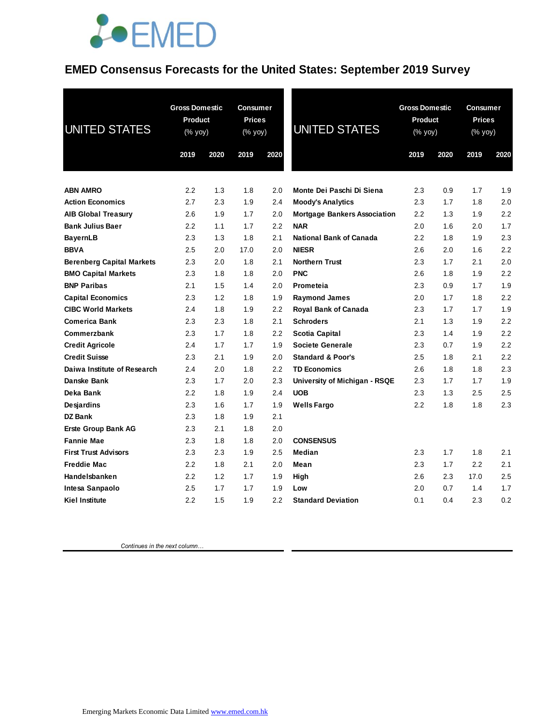## **JOEMED**

#### **EMED Consensus Forecasts for the United States: September 2019 Survey**

| <b>UNITED STATES</b>             | <b>Gross Domestic</b><br>Product<br>(% yoy)<br>2019 | 2020 | <b>Consumer</b><br><b>Prices</b><br>(% yoy)<br>2019 | 2020 | <b>UNITED STATES</b>                | <b>Gross Domestic</b><br>Product<br>(% yoy)<br>2019<br>2020 |     | Consumer<br><b>Prices</b><br>(% yoy)<br>2019<br>2020 |     |
|----------------------------------|-----------------------------------------------------|------|-----------------------------------------------------|------|-------------------------------------|-------------------------------------------------------------|-----|------------------------------------------------------|-----|
| <b>ABN AMRO</b>                  | 2.2                                                 | 1.3  | 1.8                                                 | 2.0  | Monte Dei Paschi Di Siena           | 2.3                                                         | 0.9 | 1.7                                                  | 1.9 |
| <b>Action Economics</b>          | 2.7                                                 | 2.3  | 1.9                                                 | 2.4  | <b>Moody's Analytics</b>            | 2.3                                                         | 1.7 | 1.8                                                  | 2.0 |
| <b>AIB Global Treasury</b>       | 2.6                                                 | 1.9  | 1.7                                                 | 2.0  | <b>Mortgage Bankers Association</b> | 2.2                                                         | 1.3 | 1.9                                                  | 2.2 |
| <b>Bank Julius Baer</b>          | 2.2                                                 | 1.1  | 1.7                                                 | 2.2  | <b>NAR</b>                          | 2.0                                                         | 1.6 | 2.0                                                  | 1.7 |
| <b>BayernLB</b>                  | 2.3                                                 | 1.3  | 1.8                                                 | 2.1  | <b>National Bank of Canada</b>      | 2.2                                                         | 1.8 | 1.9                                                  | 2.3 |
| <b>BBVA</b>                      | 2.5                                                 | 2.0  | 17.0                                                | 2.0  | <b>NIESR</b>                        | 2.6                                                         | 2.0 | 1.6                                                  | 2.2 |
| <b>Berenberg Capital Markets</b> | 2.3                                                 | 2.0  | 1.8                                                 | 2.1  | <b>Northern Trust</b>               | 2.3                                                         | 1.7 | 2.1                                                  | 2.0 |
| <b>BMO Capital Markets</b>       | 2.3                                                 | 1.8  | 1.8                                                 | 2.0  | <b>PNC</b>                          | 2.6                                                         | 1.8 | 1.9                                                  | 2.2 |
| <b>BNP Paribas</b>               | 2.1                                                 | 1.5  | 1.4                                                 | 2.0  | Prometeia                           | 2.3                                                         | 0.9 | 1.7                                                  | 1.9 |
| <b>Capital Economics</b>         | 2.3                                                 | 1.2  | 1.8                                                 | 1.9  | <b>Raymond James</b>                | 2.0                                                         | 1.7 | 1.8                                                  | 2.2 |
| <b>CIBC World Markets</b>        | 2.4                                                 | 1.8  | 1.9                                                 | 2.2  | Royal Bank of Canada                | 2.3                                                         | 1.7 | 1.7                                                  | 1.9 |
| <b>Comerica Bank</b>             | 2.3                                                 | 2.3  | 1.8                                                 | 2.1  | <b>Schroders</b>                    | 2.1                                                         | 1.3 | 1.9                                                  | 2.2 |
| Commerzbank                      | 2.3                                                 | 1.7  | 1.8                                                 | 2.2  | <b>Scotia Capital</b>               | 2.3                                                         | 1.4 | 1.9                                                  | 2.2 |
| <b>Credit Agricole</b>           | 2.4                                                 | 1.7  | 1.7                                                 | 1.9  | Societe Generale                    | 2.3                                                         | 0.7 | 1.9                                                  | 2.2 |
| <b>Credit Suisse</b>             | 2.3                                                 | 2.1  | 1.9                                                 | 2.0  | <b>Standard &amp; Poor's</b>        | $2.5\,$                                                     | 1.8 | 2.1                                                  | 2.2 |
| Daiwa Institute of Research      | 2.4                                                 | 2.0  | 1.8                                                 | 2.2  | <b>TD Economics</b>                 | 2.6                                                         | 1.8 | 1.8                                                  | 2.3 |
| Danske Bank                      | 2.3                                                 | 1.7  | 2.0                                                 | 2.3  | University of Michigan - RSQE       | 2.3                                                         | 1.7 | 1.7                                                  | 1.9 |
| Deka Bank                        | 2.2                                                 | 1.8  | 1.9                                                 | 2.4  | <b>UOB</b>                          | 2.3                                                         | 1.3 | 2.5                                                  | 2.5 |
| <b>Desjardins</b>                | 2.3                                                 | 1.6  | 1.7                                                 | 1.9  | <b>Wells Fargo</b>                  | 2.2                                                         | 1.8 | 1.8                                                  | 2.3 |
| <b>DZ Bank</b>                   | 2.3                                                 | 1.8  | 1.9                                                 | 2.1  |                                     |                                                             |     |                                                      |     |
| <b>Erste Group Bank AG</b>       | 2.3                                                 | 2.1  | 1.8                                                 | 2.0  |                                     |                                                             |     |                                                      |     |
| <b>Fannie Mae</b>                | 2.3                                                 | 1.8  | 1.8                                                 | 2.0  | <b>CONSENSUS</b>                    |                                                             |     |                                                      |     |
| <b>First Trust Advisors</b>      | 2.3                                                 | 2.3  | 1.9                                                 | 2.5  | Median                              | 2.3                                                         | 1.7 | 1.8                                                  | 2.1 |
| <b>Freddie Mac</b>               | 2.2                                                 | 1.8  | 2.1                                                 | 2.0  | Mean                                | 2.3                                                         | 1.7 | 2.2                                                  | 2.1 |
| Handelsbanken                    | 2.2                                                 | 1.2  | 1.7                                                 | 1.9  | High                                | 2.6                                                         | 2.3 | 17.0                                                 | 2.5 |
| Intesa Sanpaolo                  | 2.5                                                 | 1.7  | 1.7                                                 | 1.9  | Low                                 | 2.0                                                         | 0.7 | 1.4                                                  | 1.7 |
| <b>Kiel Institute</b>            | 2.2                                                 | 1.5  | 1.9                                                 | 2.2  | <b>Standard Deviation</b>           | 0.1                                                         | 0.4 | 2.3                                                  | 0.2 |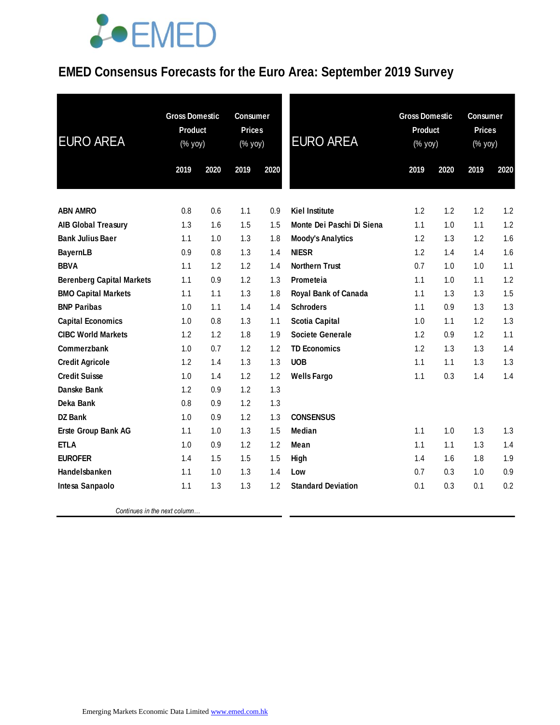## **JOEMED**

### **EMED Consensus Forecasts for the Euro Area: September 2019 Survey**

| <b>EURO AREA</b>                 | <b>Gross Domestic</b><br><b>Product</b><br>(% yoy) |      | <b>Consumer</b><br><b>Prices</b><br>$(% \mathsf{Y}\rightarrow \mathsf{Y})$ |      | <b>EURO AREA</b>            | <b>Gross Domestic</b><br><b>Product</b><br>(% yoy) |      | <b>Consumer</b><br><b>Prices</b><br>(% yoy) |      |
|----------------------------------|----------------------------------------------------|------|----------------------------------------------------------------------------|------|-----------------------------|----------------------------------------------------|------|---------------------------------------------|------|
|                                  | 2019                                               | 2020 | 2019                                                                       | 2020 |                             | 2019                                               | 2020 | 2019                                        | 2020 |
| <b>ABN AMRO</b>                  | 0.8                                                | 0.6  | 1.1                                                                        | 0.9  | <b>Kiel Institute</b>       | 1.2                                                | 1.2  | 1.2                                         | 1.2  |
| <b>AIB Global Treasury</b>       | 1.3                                                | 1.6  | 1.5                                                                        | 1.5  | Monte Dei Paschi Di Siena   | 1.1                                                | 1.0  | 1.1                                         | 1.2  |
| <b>Bank Julius Baer</b>          | 1.1                                                | 1.0  | 1.3                                                                        | 1.8  | <b>Moody's Analytics</b>    | 1.2                                                | 1.3  | 1.2                                         | 1.6  |
| <b>BayernLB</b>                  | 0.9                                                | 0.8  | 1.3                                                                        | 1.4  | <b>NIESR</b>                | 1.2                                                | 1.4  | 1.4                                         | 1.6  |
| <b>BBVA</b>                      | 1.1                                                | 1.2  | 1.2                                                                        | 1.4  | <b>Northern Trust</b>       | 0.7                                                | 1.0  | 1.0                                         | 1.1  |
| <b>Berenberg Capital Markets</b> | 1.1                                                | 0.9  | 1.2                                                                        | 1.3  | Prometeia                   | 1.1                                                | 1.0  | 1.1                                         | 1.2  |
| <b>BMO Capital Markets</b>       | 1.1                                                | 1.1  | 1.3                                                                        | 1.8  | <b>Royal Bank of Canada</b> | 1.1                                                | 1.3  | 1.3                                         | 1.5  |
| <b>BNP Paribas</b>               | 1.0                                                | 1.1  | 1.4                                                                        | 1.4  | <b>Schroders</b>            | 1.1                                                | 0.9  | 1.3                                         | 1.3  |
| <b>Capital Economics</b>         | 1.0                                                | 0.8  | 1.3                                                                        | 1.1  | <b>Scotia Capital</b>       | 1.0                                                | 1.1  | 1.2                                         | 1.3  |
| <b>CIBC World Markets</b>        | 1.2                                                | 1.2  | 1.8                                                                        | 1.9  | <b>Societe Generale</b>     | 1.2                                                | 0.9  | 1.2                                         | 1.1  |
| Commerzbank                      | 1.0                                                | 0.7  | 1.2                                                                        | 1.2  | <b>TD Economics</b>         | 1.2                                                | 1.3  | 1.3                                         | 1.4  |
| <b>Credit Agricole</b>           | 1.2                                                | 1.4  | 1.3                                                                        | 1.3  | <b>UOB</b>                  | 1.1                                                | 1.1  | 1.3                                         | 1.3  |
| <b>Credit Suisse</b>             | 1.0                                                | 1.4  | 1.2                                                                        | 1.2  | <b>Wells Fargo</b>          | 1.1                                                | 0.3  | 1.4                                         | 1.4  |
| Danske Bank                      | 1.2                                                | 0.9  | 1.2                                                                        | 1.3  |                             |                                                    |      |                                             |      |
| Deka Bank                        | 0.8                                                | 0.9  | 1.2                                                                        | 1.3  |                             |                                                    |      |                                             |      |
| <b>DZ Bank</b>                   | 1.0                                                | 0.9  | 1.2                                                                        | 1.3  | <b>CONSENSUS</b>            |                                                    |      |                                             |      |
| Erste Group Bank AG              | 1.1                                                | 1.0  | 1.3                                                                        | 1.5  | <b>Median</b>               | 1.1                                                | 1.0  | 1.3                                         | 1.3  |
| <b>ETLA</b>                      | 1.0                                                | 0.9  | 1.2                                                                        | 1.2  | Mean                        | 1.1                                                | 1.1  | 1.3                                         | 1.4  |
| <b>EUROFER</b>                   | 1.4                                                | 1.5  | 1.5                                                                        | 1.5  | High                        | 1.4                                                | 1.6  | 1.8                                         | 1.9  |
| Handelsbanken                    | 1.1                                                | 1.0  | 1.3                                                                        | 1.4  | Low                         | 0.7                                                | 0.3  | 1.0                                         | 0.9  |
| Intesa Sanpaolo                  | 1.1                                                | 1.3  | 1.3                                                                        | 1.2  | <b>Standard Deviation</b>   | 0.1                                                | 0.3  | 0.1                                         | 0.2  |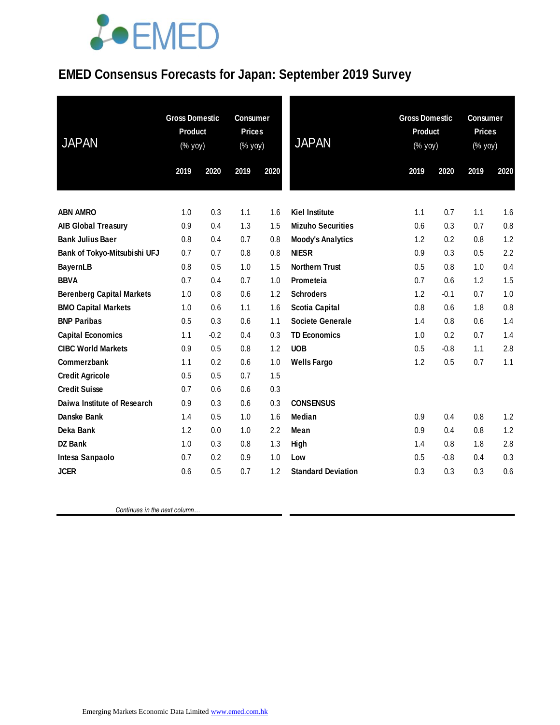# **JOEMED**

### **EMED Consensus Forecasts for Japan: September 2019 Survey**

| <b>JAPAN</b>                     | <b>Gross Domestic</b><br><b>Product</b><br>(% yoy) |        | <b>Consumer</b><br><b>Prices</b><br>(% yoy) |      | <b>JAPAN</b>              | <b>Gross Domestic</b><br><b>Product</b><br>$(% \mathsf{Y}^{\prime }\mathsf{Y}^{\prime }\mathsf{Y}^{\prime })$ |        | <b>Consumer</b><br><b>Prices</b><br>(% yoy) |      |
|----------------------------------|----------------------------------------------------|--------|---------------------------------------------|------|---------------------------|---------------------------------------------------------------------------------------------------------------|--------|---------------------------------------------|------|
|                                  | 2019                                               | 2020   | 2019                                        | 2020 |                           | 2019                                                                                                          | 2020   | 2019                                        | 2020 |
|                                  |                                                    |        |                                             |      |                           |                                                                                                               |        |                                             |      |
| <b>ABN AMRO</b>                  | 1.0                                                | 0.3    | 1.1                                         | 1.6  | <b>Kiel Institute</b>     | 1.1                                                                                                           | 0.7    | 1.1                                         | 1.6  |
| <b>AIB Global Treasury</b>       | 0.9                                                | 0.4    | 1.3                                         | 1.5  | <b>Mizuho Securities</b>  | 0.6                                                                                                           | 0.3    | 0.7                                         | 0.8  |
| <b>Bank Julius Baer</b>          | 0.8                                                | 0.4    | 0.7                                         | 0.8  | <b>Moody's Analytics</b>  | 1.2                                                                                                           | 0.2    | 0.8                                         | 1.2  |
| Bank of Tokyo-Mitsubishi UFJ     | 0.7                                                | 0.7    | 0.8                                         | 0.8  | <b>NIESR</b>              | 0.9                                                                                                           | 0.3    | 0.5                                         | 2.2  |
| <b>BayernLB</b>                  | 0.8                                                | 0.5    | 1.0                                         | 1.5  | <b>Northern Trust</b>     | 0.5                                                                                                           | 0.8    | 1.0                                         | 0.4  |
| <b>BBVA</b>                      | 0.7                                                | 0.4    | 0.7                                         | 1.0  | Prometeia                 | 0.7                                                                                                           | 0.6    | 1.2                                         | 1.5  |
| <b>Berenberg Capital Markets</b> | 1.0                                                | 0.8    | 0.6                                         | 1.2  | <b>Schroders</b>          | 1.2                                                                                                           | $-0.1$ | 0.7                                         | 1.0  |
| <b>BMO Capital Markets</b>       | 1.0                                                | 0.6    | 1.1                                         | 1.6  | <b>Scotia Capital</b>     | 0.8                                                                                                           | 0.6    | 1.8                                         | 0.8  |
| <b>BNP Paribas</b>               | 0.5                                                | 0.3    | 0.6                                         | 1.1  | <b>Societe Generale</b>   | 1.4                                                                                                           | 0.8    | 0.6                                         | 1.4  |
| <b>Capital Economics</b>         | 1.1                                                | $-0.2$ | 0.4                                         | 0.3  | <b>TD Economics</b>       | 1.0                                                                                                           | 0.2    | 0.7                                         | 1.4  |
| <b>CIBC World Markets</b>        | 0.9                                                | 0.5    | 0.8                                         | 1.2  | <b>UOB</b>                | 0.5                                                                                                           | $-0.8$ | 1.1                                         | 2.8  |
| Commerzbank                      | 1.1                                                | 0.2    | 0.6                                         | 1.0  | <b>Wells Fargo</b>        | 1.2                                                                                                           | 0.5    | 0.7                                         | 1.1  |
| <b>Credit Agricole</b>           | 0.5                                                | 0.5    | 0.7                                         | 1.5  |                           |                                                                                                               |        |                                             |      |
| <b>Credit Suisse</b>             | 0.7                                                | 0.6    | 0.6                                         | 0.3  |                           |                                                                                                               |        |                                             |      |
| Daiwa Institute of Research      | 0.9                                                | 0.3    | 0.6                                         | 0.3  | <b>CONSENSUS</b>          |                                                                                                               |        |                                             |      |
| Danske Bank                      | 1.4                                                | 0.5    | 1.0                                         | 1.6  | Median                    | 0.9                                                                                                           | 0.4    | 0.8                                         | 1.2  |
| Deka Bank                        | 1.2                                                | 0.0    | 1.0                                         | 2.2  | Mean                      | 0.9                                                                                                           | 0.4    | 0.8                                         | 1.2  |
| <b>DZ Bank</b>                   | 1.0                                                | 0.3    | 0.8                                         | 1.3  | High                      | 1.4                                                                                                           | 0.8    | 1.8                                         | 2.8  |
| Intesa Sanpaolo                  | 0.7                                                | 0.2    | 0.9                                         | 1.0  | Low                       | 0.5                                                                                                           | $-0.8$ | 0.4                                         | 0.3  |
| <b>JCER</b>                      | 0.6                                                | 0.5    | 0.7                                         | 1.2  | <b>Standard Deviation</b> | 0.3                                                                                                           | 0.3    | 0.3                                         | 0.6  |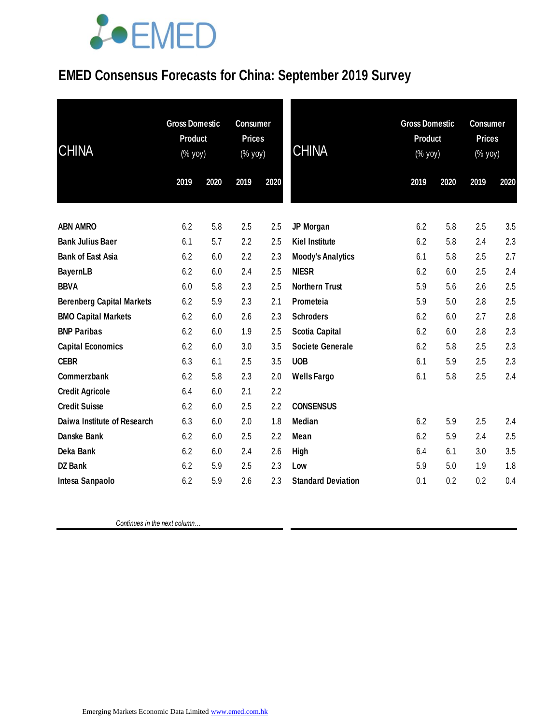## LOEMED

### **EMED Consensus Forecasts for China: September 2019 Survey**

| <b>CHINA</b>                     | <b>Gross Domestic</b><br><b>Product</b><br>(% yoy) |      | <b>Consumer</b><br><b>Prices</b><br>(% yoy) |      | <b>CHINA</b>              |      | <b>Gross Domestic</b><br><b>Product</b><br>(% yoy) |      | <b>Consumer</b><br><b>Prices</b><br>(% yoy) |  |
|----------------------------------|----------------------------------------------------|------|---------------------------------------------|------|---------------------------|------|----------------------------------------------------|------|---------------------------------------------|--|
|                                  | 2019                                               | 2020 | 2019                                        | 2020 |                           | 2019 | 2020                                               | 2019 | 2020                                        |  |
| <b>ABN AMRO</b>                  | 6.2                                                | 5.8  | 2.5                                         | 2.5  | JP Morgan                 | 6.2  | 5.8                                                | 2.5  | 3.5                                         |  |
| <b>Bank Julius Baer</b>          | 6.1                                                | 5.7  | 2.2                                         | 2.5  | <b>Kiel Institute</b>     | 6.2  | 5.8                                                | 2.4  | 2.3                                         |  |
| <b>Bank of East Asia</b>         | 6.2                                                | 6.0  | 2.2                                         | 2.3  | <b>Moody's Analytics</b>  | 6.1  | 5.8                                                | 2.5  | 2.7                                         |  |
| <b>BayernLB</b>                  | 6.2                                                | 6.0  | 2.4                                         | 2.5  | <b>NIESR</b>              | 6.2  | 6.0                                                | 2.5  | 2.4                                         |  |
| <b>BBVA</b>                      | 6.0                                                | 5.8  | 2.3                                         | 2.5  | <b>Northern Trust</b>     | 5.9  | 5.6                                                | 2.6  | 2.5                                         |  |
| <b>Berenberg Capital Markets</b> | 6.2                                                | 5.9  | 2.3                                         | 2.1  | Prometeia                 | 5.9  | 5.0                                                | 2.8  | 2.5                                         |  |
| <b>BMO Capital Markets</b>       | 6.2                                                | 6.0  | 2.6                                         | 2.3  | <b>Schroders</b>          | 6.2  | 6.0                                                | 2.7  | 2.8                                         |  |
| <b>BNP Paribas</b>               | 6.2                                                | 6.0  | 1.9                                         | 2.5  | <b>Scotia Capital</b>     | 6.2  | 6.0                                                | 2.8  | 2.3                                         |  |
| <b>Capital Economics</b>         | 6.2                                                | 6.0  | 3.0                                         | 3.5  | <b>Societe Generale</b>   | 6.2  | 5.8                                                | 2.5  | 2.3                                         |  |
| <b>CEBR</b>                      | 6.3                                                | 6.1  | 2.5                                         | 3.5  | <b>UOB</b>                | 6.1  | 5.9                                                | 2.5  | 2.3                                         |  |
| Commerzbank                      | 6.2                                                | 5.8  | 2.3                                         | 2.0  | <b>Wells Fargo</b>        | 6.1  | 5.8                                                | 2.5  | 2.4                                         |  |
| <b>Credit Agricole</b>           | 6.4                                                | 6.0  | 2.1                                         | 2.2  |                           |      |                                                    |      |                                             |  |
| <b>Credit Suisse</b>             | 6.2                                                | 6.0  | 2.5                                         | 2.2  | <b>CONSENSUS</b>          |      |                                                    |      |                                             |  |
| Daiwa Institute of Research      | 6.3                                                | 6.0  | 2.0                                         | 1.8  | Median                    | 6.2  | 5.9                                                | 2.5  | 2.4                                         |  |
| Danske Bank                      | 6.2                                                | 6.0  | 2.5                                         | 2.2  | Mean                      | 6.2  | 5.9                                                | 2.4  | 2.5                                         |  |
| Deka Bank                        | 6.2                                                | 6.0  | 2.4                                         | 2.6  | High                      | 6.4  | 6.1                                                | 3.0  | 3.5                                         |  |
| <b>DZ Bank</b>                   | 6.2                                                | 5.9  | 2.5                                         | 2.3  | Low                       | 5.9  | 5.0                                                | 1.9  | 1.8                                         |  |
| Intesa Sanpaolo                  | 6.2                                                | 5.9  | 2.6                                         | 2.3  | <b>Standard Deviation</b> | 0.1  | 0.2                                                | 0.2  | 0.4                                         |  |